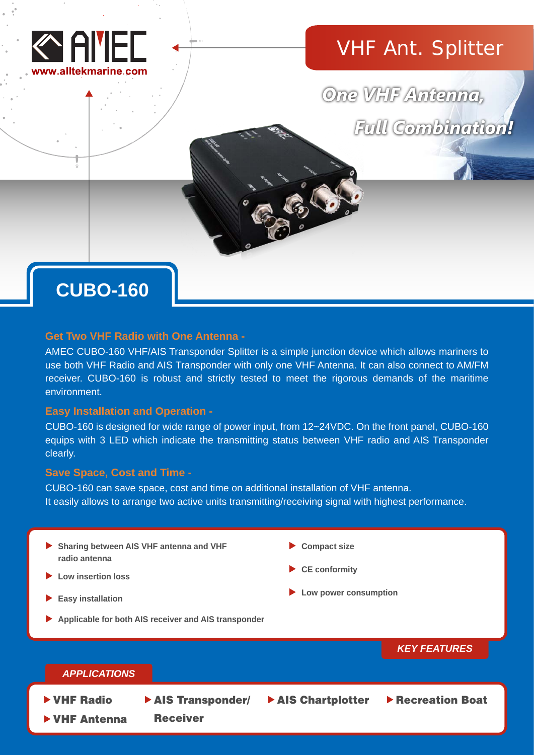

# VHF Ant. Splitter

One VHF Antenna, **Full Combination!** 

# **CUBO-160**

# **Get Two VHF Radio with One Antenna -**

AMEC CUBO-160 VHF/AIS Transponder Splitter is a simple junction device which allows mariners to use both VHF Radio and AIS Transponder with only one VHF Antenna. It can also connect to AM/FM receiver. CUBO-160 is robust and strictly tested to meet the rigorous demands of the maritime environment.

# **Easy Installation and Operation -**

CUBO-160 is designed for wide range of power input, from 12~24VDC. On the front panel, CUBO-160 equips with 3 LED which indicate the transmitting status between VHF radio and AIS Transponder clearly.

# **Save Space, Cost and Time -**

CUBO-160 can save space, cost and time on additional installation of VHF antenna. It easily allows to arrange two active units transmitting/receiving signal with highest performance.

# **Sharing between AIS VHF antenna and VHF radio antenna**

- **Low insertion loss**
- **Easy installation**
- **Applicable for both AIS receiver and AIS transponder**

**Compact size**

**CE conformity**

**AIS Chartplotter** 

**Low power consumption**

*KEY FEATURES*

# *APPLICATIONS*

- - VHF Radio → AIS Transponder/ ▶ AIS Chartplotter ▶ Recreation Boat

Receiver

VHF Antenna